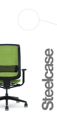